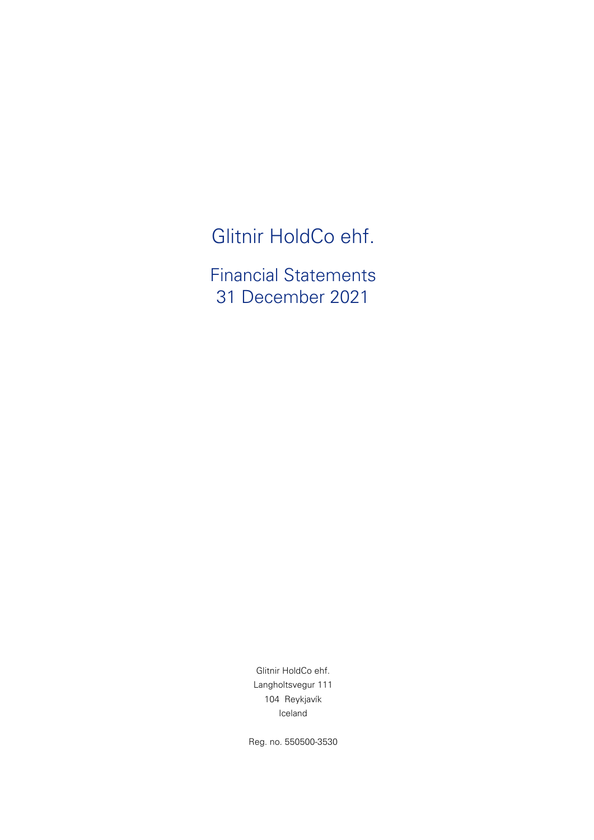Glitnir HoldCo ehf.

Financial Statements 31 December 2021

> 104 Reykjavík Iceland Glitnir HoldCo ehf. Langholtsvegur 111

Reg. no. 550500-3530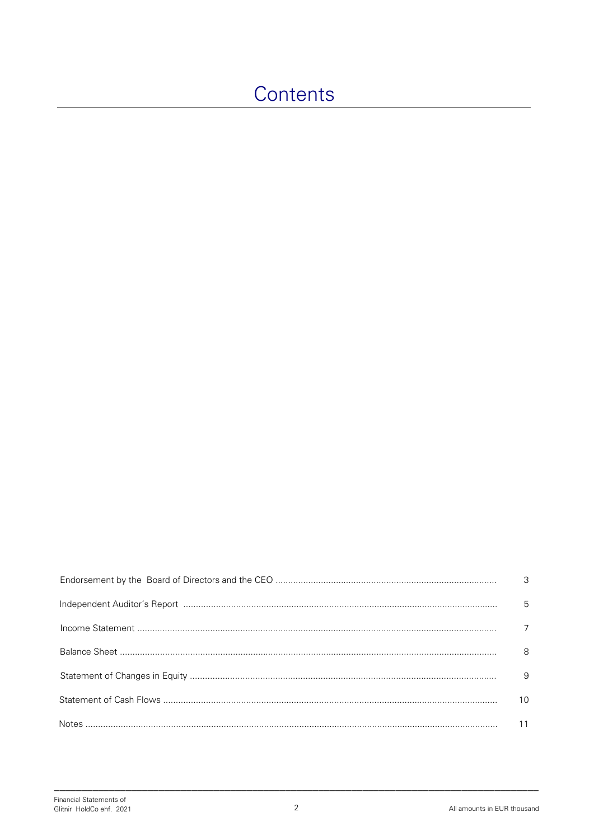# Contents

| $\overline{\mathbf{3}}$ |
|-------------------------|
| 5                       |
| 7                       |
| - 8                     |
| - 9                     |
| 10                      |
| 11                      |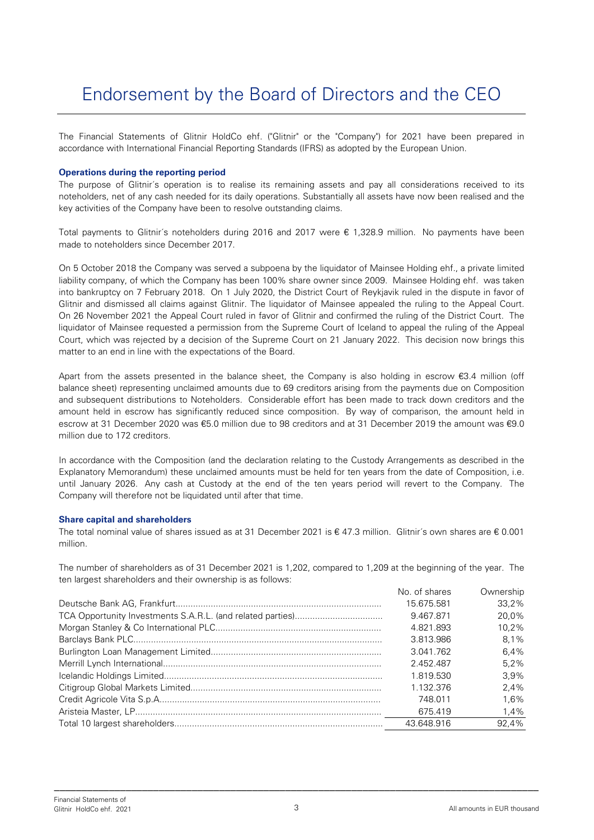The Financial Statements of Glitnir HoldCo ehf. ("Glitnir" or the "Company") for 2021 have been prepared in accordance with International Financial Reporting Standards (IFRS) as adopted by the European Union.

#### **Operations during the reporting period**

The purpose of Glitnir´s operation is to realise its remaining assets and pay all considerations received to its noteholders, net of any cash needed for its daily operations. Substantially all assets have now been realised and the key activities of the Company have been to resolve outstanding claims.

Total payments to Glitnir´s noteholders during 2016 and 2017 were € 1,328.9 million. No payments have been made to noteholders since December 2017.

On 5 October 2018 the Company was served a subpoena by the liquidator of Mainsee Holding ehf., a private limited liability company, of which the Company has been 100% share owner since 2009. Mainsee Holding ehf. was taken into bankruptcy on 7 February 2018. On 1 July 2020, the District Court of Reykjavik ruled in the dispute in favor of Glitnir and dismissed all claims against Glitnir. The liquidator of Mainsee appealed the ruling to the Appeal Court. On 26 November 2021 the Appeal Court ruled in favor of Glitnir and confirmed the ruling of the District Court. The liquidator of Mainsee requested a permission from the Supreme Court of Iceland to appeal the ruling of the Appeal Court, which was rejected by a decision of the Supreme Court on 21 January 2022. This decision now brings this matter to an end in line with the expectations of the Board.

Apart from the assets presented in the balance sheet, the Company is also holding in escrow €3.4 million (off balance sheet) representing unclaimed amounts due to 69 creditors arising from the payments due on Composition and subsequent distributions to Noteholders. Considerable effort has been made to track down creditors and the amount held in escrow has significantly reduced since composition. By way of comparison, the amount held in escrow at 31 December 2020 was €5.0 million due to 98 creditors and at 31 December 2019 the amount was €9.0 million due to 172 creditors.

In accordance with the Composition (and the declaration relating to the Custody Arrangements as described in the Explanatory Memorandum) these unclaimed amounts must be held for ten years from the date of Composition, i.e. until January 2026. Any cash at Custody at the end of the ten years period will revert to the Company. The Company will therefore not be liquidated until after that time.

#### **Share capital and shareholders**

The total nominal value of shares issued as at 31 December 2021 is € 47.3 million. Glitnir´s own shares are € 0.001 million.

The number of shareholders as of 31 December 2021 is 1,202, compared to 1,209 at the beginning of the year. The ten largest shareholders and their ownership is as follows:

| No. of shares | Ownership |
|---------------|-----------|
| 15.675.581    | 33.2%     |
| 9.467.871     | 20.0%     |
| 4.821.893     | $10.2\%$  |
| 3.813.986     | 8.1%      |
| 3.041.762     | 6.4%      |
| 2.452.487     | 5.2%      |
| 1.819.530     | $3.9\%$   |
| 1.132.376     | 2.4%      |
| 748.011       | 1.6%      |
| 675.419       | 1.4%      |
| 43.648.916    | 92.4%     |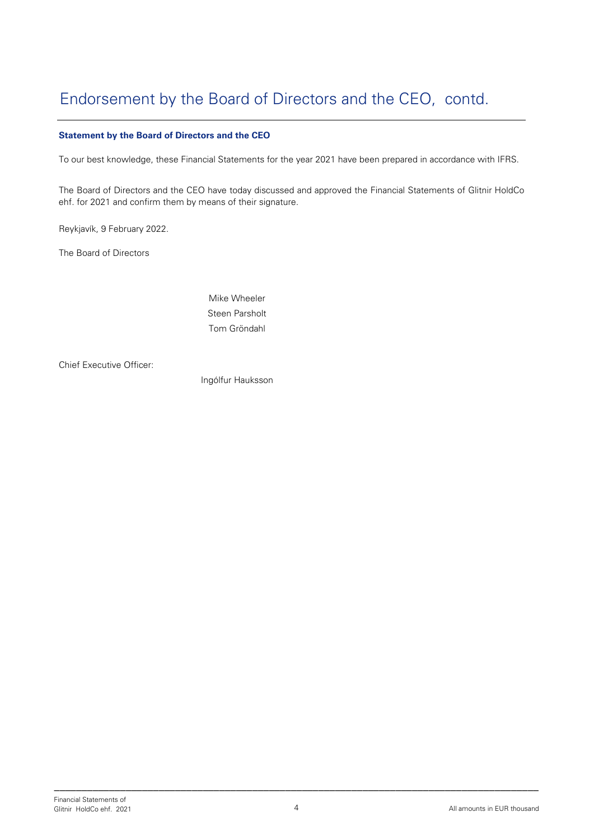## Endorsement by the Board of Directors and the CEO, contd.

#### **Statement by the Board of Directors and the CEO**

To our best knowledge, these Financial Statements for the year 2021 have been prepared in accordance with IFRS.

The Board of Directors and the CEO have today discussed and approved the Financial Statements of Glitnir HoldCo ehf. for 2021 and confirm them by means of their signature.

Reykjavík, 9 February 2022.

The Board of Directors

Mike Wheeler Steen Parsholt Tom Gröndahl

Chief Executive Officer:

Ingólfur Hauksson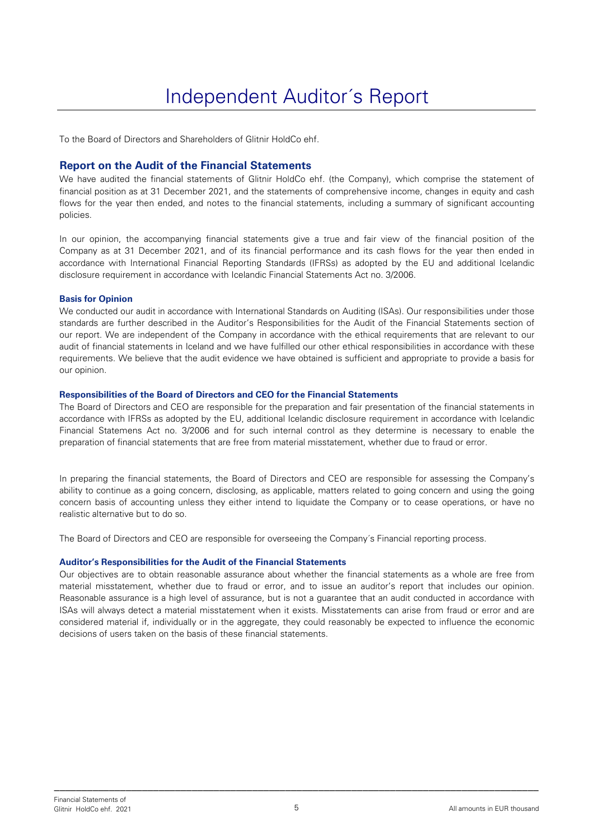To the Board of Directors and Shareholders of Glitnir HoldCo ehf.

#### **Report on the Audit of the Financial Statements**

We have audited the financial statements of Glitnir HoldCo ehf. (the Company), which comprise the statement of financial position as at 31 December 2021, and the statements of comprehensive income, changes in equity and cash flows for the year then ended, and notes to the financial statements, including a summary of significant accounting policies.

In our opinion, the accompanying financial statements give a true and fair view of the financial position of the Company as at 31 December 2021, and of its financial performance and its cash flows for the year then ended in accordance with International Financial Reporting Standards (IFRSs) as adopted by the EU and additional Icelandic disclosure requirement in accordance with Icelandic Financial Statements Act no. 3/2006.

#### **Basis for Opinion**

We conducted our audit in accordance with International Standards on Auditing (ISAs). Our responsibilities under those standards are further described in the Auditor's Responsibilities for the Audit of the Financial Statements section of our report. We are independent of the Company in accordance with the ethical requirements that are relevant to our audit of financial statements in Iceland and we have fulfilled our other ethical responsibilities in accordance with these requirements. We believe that the audit evidence we have obtained is sufficient and appropriate to provide a basis for our opinion.

#### **Responsibilities of the Board of Directors and CEO for the Financial Statements**

The Board of Directors and CEO are responsible for the preparation and fair presentation of the financial statements in accordance with IFRSs as adopted by the EU, additional Icelandic disclosure requirement in accordance with Icelandic Financial Statemens Act no. 3/2006 and for such internal control as they determine is necessary to enable the preparation of financial statements that are free from material misstatement, whether due to fraud or error.

In preparing the financial statements, the Board of Directors and CEO are responsible for assessing the Company's ability to continue as a going concern, disclosing, as applicable, matters related to going concern and using the going concern basis of accounting unless they either intend to liquidate the Company or to cease operations, or have no realistic alternative but to do so.

The Board of Directors and CEO are responsible for overseeing the Company´s Financial reporting process.

#### **Auditor's Responsibilities for the Audit of the Financial Statements**

Our objectives are to obtain reasonable assurance about whether the financial statements as a whole are free from material misstatement, whether due to fraud or error, and to issue an auditor's report that includes our opinion. Reasonable assurance is a high level of assurance, but is not a guarantee that an audit conducted in accordance with ISAs will always detect a material misstatement when it exists. Misstatements can arise from fraud or error and are considered material if, individually or in the aggregate, they could reasonably be expected to influence the economic decisions of users taken on the basis of these financial statements.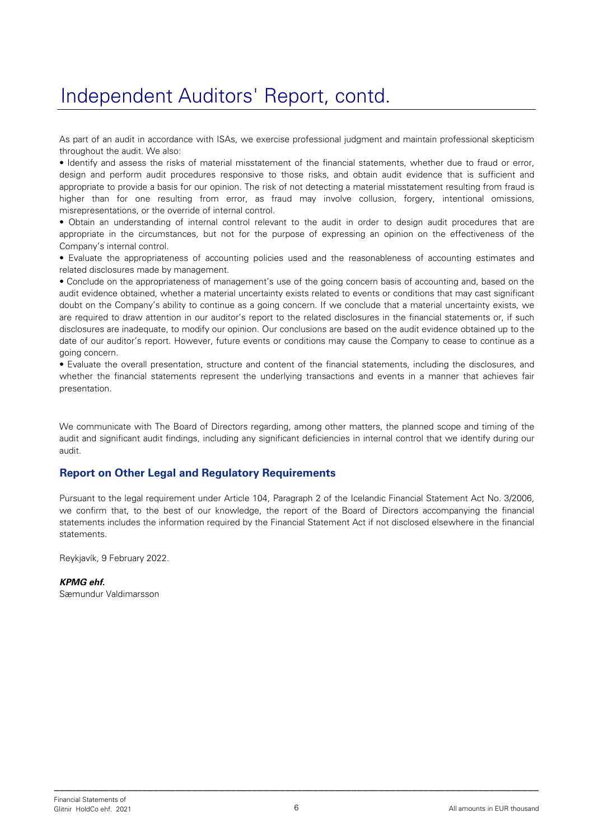# Independent Auditors' Report, contd.

As part of an audit in accordance with ISAs, we exercise professional judgment and maintain professional skepticism throughout the audit. We also:

• Identify and assess the risks of material misstatement of the financial statements, whether due to fraud or error, design and perform audit procedures responsive to those risks, and obtain audit evidence that is sufficient and appropriate to provide a basis for our opinion. The risk of not detecting a material misstatement resulting from fraud is higher than for one resulting from error, as fraud may involve collusion, forgery, intentional omissions, misrepresentations, or the override of internal control.

• Obtain an understanding of internal control relevant to the audit in order to design audit procedures that are appropriate in the circumstances, but not for the purpose of expressing an opinion on the effectiveness of the Company's internal control.

• Evaluate the appropriateness of accounting policies used and the reasonableness of accounting estimates and related disclosures made by management.

• Conclude on the appropriateness of management's use of the going concern basis of accounting and, based on the audit evidence obtained, whether a material uncertainty exists related to events or conditions that may cast significant doubt on the Company's ability to continue as a going concern. If we conclude that a material uncertainty exists, we are required to draw attention in our auditor's report to the related disclosures in the financial statements or, if such disclosures are inadequate, to modify our opinion. Our conclusions are based on the audit evidence obtained up to the date of our auditor's report. However, future events or conditions may cause the Company to cease to continue as a going concern.

• Evaluate the overall presentation, structure and content of the financial statements, including the disclosures, and whether the financial statements represent the underlying transactions and events in a manner that achieves fair presentation.

We communicate with The Board of Directors regarding, among other matters, the planned scope and timing of the audit and significant audit findings, including any significant deficiencies in internal control that we identify during our audit.

### **Report on Other Legal and Regulatory Requirements**

Pursuant to the legal requirement under Article 104, Paragraph 2 of the Icelandic Financial Statement Act No. 3/2006, we confirm that, to the best of our knowledge, the report of the Board of Directors accompanying the financial statements includes the information required by the Financial Statement Act if not disclosed elsewhere in the financial statements.

Reykjavík, 9 February 2022.

#### **KPMG ehf.**

Sæmundur Valdimarsson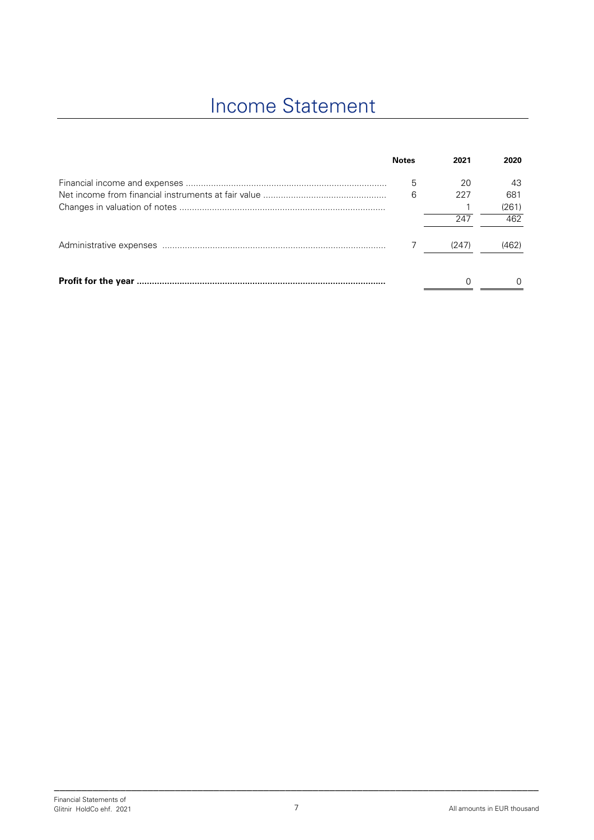# Income Statement

| <b>Notes</b> | 2021  | 2020  |
|--------------|-------|-------|
| 5            | 20    | 43    |
| 6            | 227   | 681   |
|              |       | (261) |
|              | 247   | 462   |
|              | (247) | (462) |
|              |       |       |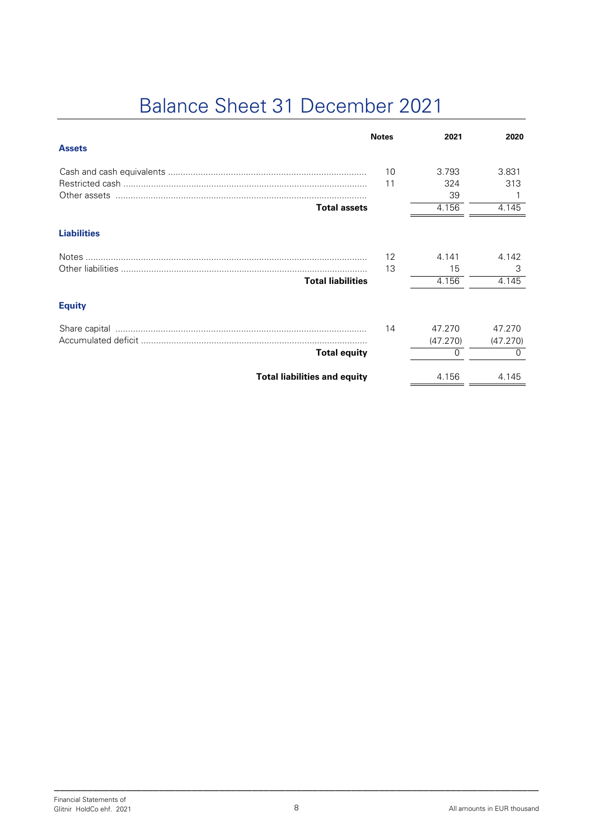# Balance Sheet 31 December 2021

|                                     | <b>Notes</b> | 2021     | 2020         |
|-------------------------------------|--------------|----------|--------------|
| <b>Assets</b>                       |              |          |              |
|                                     | 10           | 3.793    | 3.831        |
|                                     | 11           | 324      | 313          |
|                                     |              | 39       |              |
| <b>Total assets</b>                 |              | 4.156    | 4.145        |
| <b>Liabilities</b>                  |              |          |              |
|                                     | 12           | 4.141    | 4.142        |
|                                     | 13           | 15       | 3            |
| <b>Total liabilities</b>            |              | 4.156    | 4.145        |
| <b>Equity</b>                       |              |          |              |
|                                     | 14           | 47.270   | 47.270       |
|                                     |              | (47.270) | (47.270)     |
| <b>Total equity</b>                 |              | $\Omega$ | <sup>0</sup> |
| <b>Total liabilities and equity</b> |              | 4.156    | 4.145        |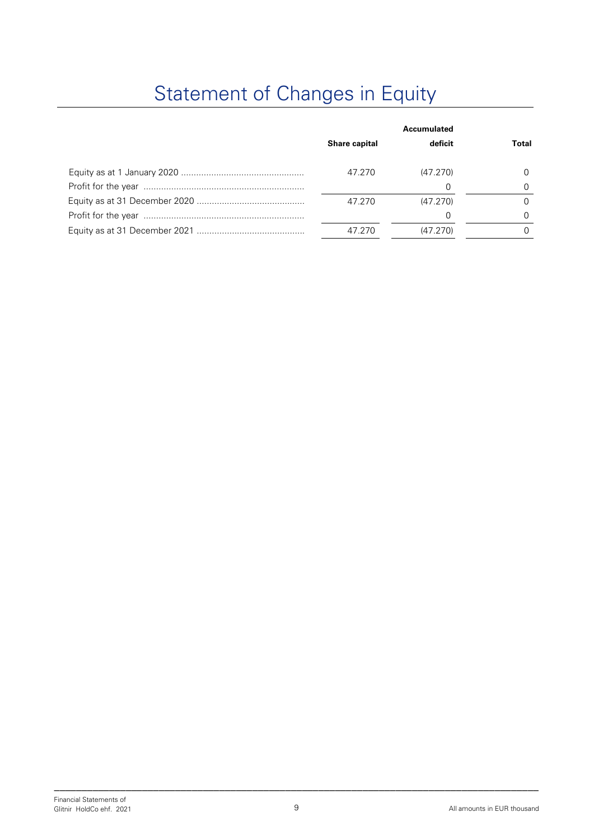# Statement of Changes in Equity

| <b>Share capital</b> | Accumulated<br>deficit | Total |
|----------------------|------------------------|-------|
| 47.270               | (47.270)               |       |
|                      |                        |       |
| 47.270               | (47.270)               |       |
|                      |                        |       |
| 47.270               | (47.270)               |       |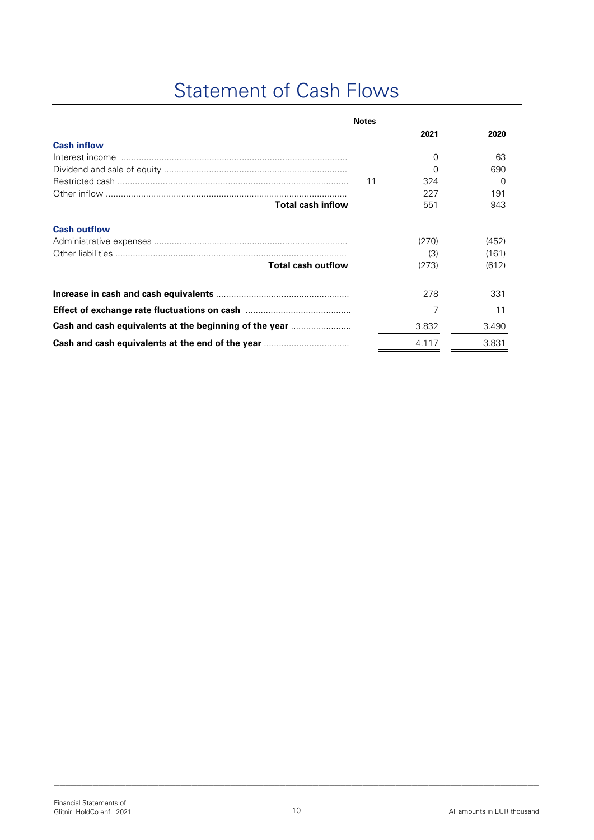# Statement of Cash Flows

|                                                                                                         | <b>Notes</b> |       |                  |
|---------------------------------------------------------------------------------------------------------|--------------|-------|------------------|
|                                                                                                         |              | 2021  | 2020             |
| <b>Cash inflow</b>                                                                                      |              |       |                  |
|                                                                                                         |              | 0     | 63               |
|                                                                                                         |              | 0     | 690              |
|                                                                                                         | 11           | 324   | $\left( \right)$ |
|                                                                                                         |              | 227   | 191              |
| <b>Total cash inflow</b>                                                                                |              | 551   | 943              |
| <b>Cash outflow</b>                                                                                     |              |       |                  |
|                                                                                                         |              | (270) | (452)            |
|                                                                                                         |              | (3)   | (161)            |
| <b>Total cash outflow</b>                                                                               |              | (273) | (612)            |
|                                                                                                         |              | 278   | 331              |
|                                                                                                         |              |       |                  |
| <b>Effect of exchange rate fluctuations on cash manufacturers</b> of exchange rate fluctuations on cash |              | 7     | 11               |
| Cash and cash equivalents at the beginning of the year <i>manumanon</i> .                               |              | 3.832 | 3.490            |
| Cash and cash equivalents at the end of the year                                                        |              | 4.117 | 3.831            |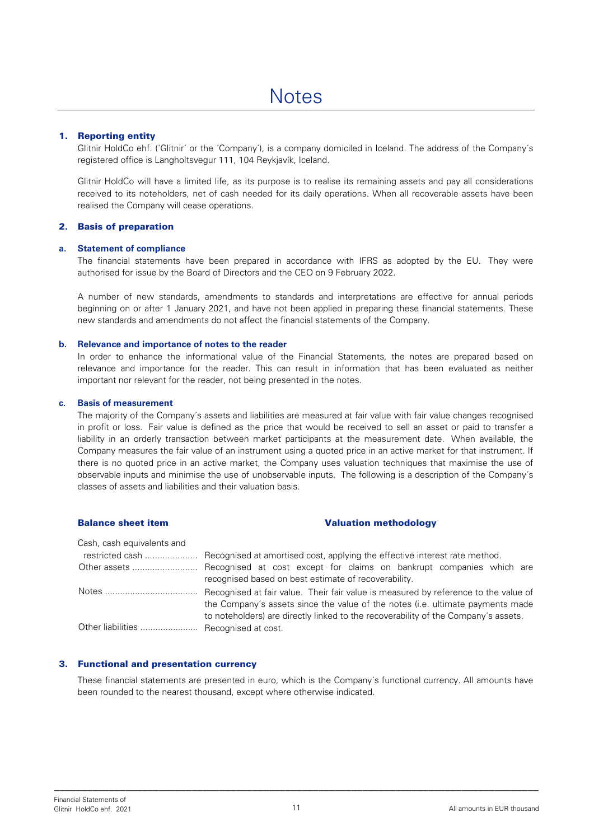#### 1. Reporting entity

Glitnir HoldCo ehf. ('Glitnir' or the 'Company'), is a company domiciled in Iceland. The address of the Company's registered office is Langholtsvegur 111, 104 Reykjavík, Iceland.

Glitnir HoldCo will have a limited life, as its purpose is to realise its remaining assets and pay all considerations received to its noteholders, net of cash needed for its daily operations. When all recoverable assets have been realised the Company will cease operations.

#### 2. Basis of preparation

#### **a. Statement of compliance**

The financial statements have been prepared in accordance with IFRS as adopted by the EU. They were authorised for issue by the Board of Directors and the CEO on 9 February 2022.

A number of new standards, amendments to standards and interpretations are effective for annual periods beginning on or after 1 January 2021, and have not been applied in preparing these financial statements. These new standards and amendments do not affect the financial statements of the Company.

#### **b. Relevance and importance of notes to the reader**

In order to enhance the informational value of the Financial Statements, the notes are prepared based on relevance and importance for the reader. This can result in information that has been evaluated as neither important nor relevant for the reader, not being presented in the notes.

#### **c. Basis of measurement**

The majority of the Company´s assets and liabilities are measured at fair value with fair value changes recognised in profit or loss. Fair value is defined as the price that would be received to sell an asset or paid to transfer a liability in an orderly transaction between market participants at the measurement date. When available, the Company measures the fair value of an instrument using a quoted price in an active market for that instrument. If there is no quoted price in an active market, the Company uses valuation techniques that maximise the use of observable inputs and minimise the use of unobservable inputs. The following is a description of the Company´s classes of assets and liabilities and their valuation basis.

#### Balance sheet item Valuation methodology

Cash, cash equivalents and

|                                        | Other assets  Recognised at cost except for claims on bankrupt companies which are |
|----------------------------------------|------------------------------------------------------------------------------------|
|                                        | recognised based on best estimate of recoverability.                               |
|                                        |                                                                                    |
|                                        | the Company's assets since the value of the notes (i.e. ultimate payments made     |
|                                        | to noteholders) are directly linked to the recoverability of the Company's assets. |
| Other liabilities  Recognised at cost. |                                                                                    |

#### 3. Functional and presentation currency

These financial statements are presented in euro, which is the Company´s functional currency. All amounts have been rounded to the nearest thousand, except where otherwise indicated.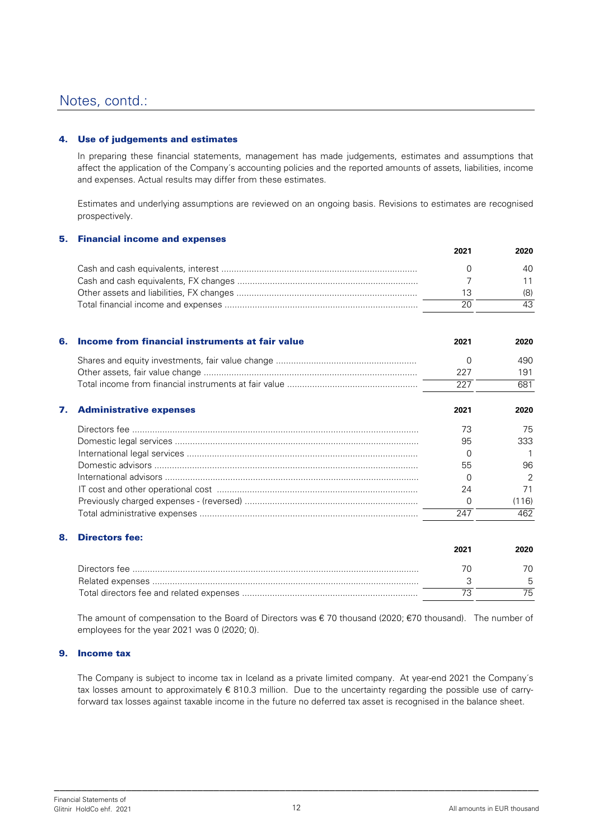#### 4. Use of judgements and estimates

In preparing these financial statements, management has made judgements, estimates and assumptions that affect the application of the Company´s accounting policies and the reported amounts of assets, liabilities, income and expenses. Actual results may differ from these estimates.

Estimates and underlying assumptions are reviewed on an ongoing basis. Revisions to estimates are recognised prospectively.

#### 5. Financial income and expenses

| 2021 | 2020 |
|------|------|
|      | 40.  |
|      |      |
|      | (8)  |
|      | 43.  |

| 6. | Income from financial instruments at fair value | 2021     | 2020  |
|----|-------------------------------------------------|----------|-------|
|    |                                                 | O        | 490   |
|    |                                                 | 227      | 191   |
|    |                                                 | 227      | 681   |
| 7. | <b>Administrative expenses</b>                  | 2021     | 2020  |
|    |                                                 | 73       | 75    |
|    |                                                 | 95       | 333.  |
|    |                                                 | $\Omega$ |       |
|    |                                                 | 55       | 96    |
|    |                                                 | $\Omega$ | 2     |
|    |                                                 | 24       | 71    |
|    |                                                 | $\Omega$ | (116) |
|    |                                                 | 247      | 462   |

#### 8. Directors fee:

|               | 2021 | 2020 |
|---------------|------|------|
| Directors fee |      |      |
|               |      |      |
|               |      |      |

The amount of compensation to the Board of Directors was  $\epsilon$  70 thousand (2020;  $\epsilon$ 70 thousand). The number of employees for the year 2021 was 0 (2020; 0).

#### 9. Income tax

The Company is subject to income tax in Iceland as a private limited company. At year-end 2021 the Company´s tax losses amount to approximately € 810.3 million. Due to the uncertainty regarding the possible use of carryforward tax losses against taxable income in the future no deferred tax asset is recognised in the balance sheet.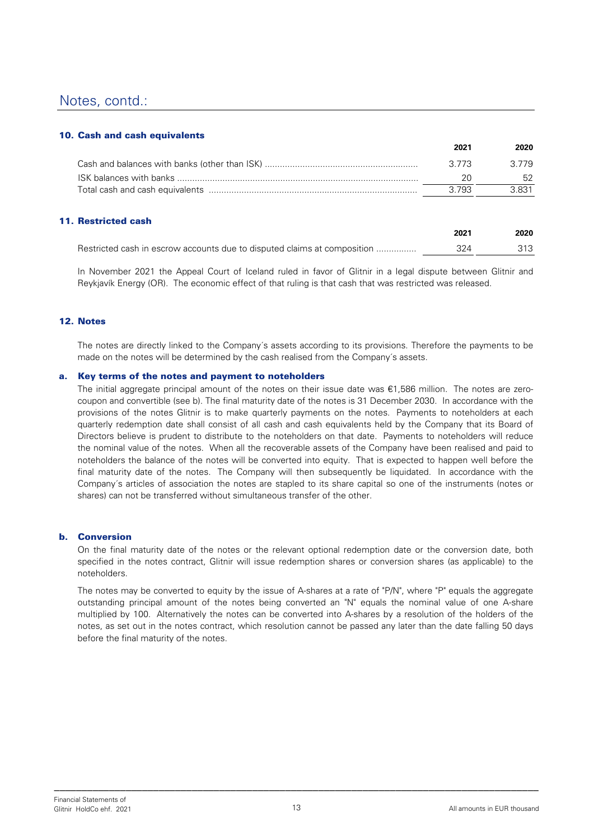#### 10. Cash and cash equivalents

|       | <u>LULU</u> |
|-------|-------------|
| 3 773 | 3.779       |
|       | 52.         |
| 3.793 | -3.831      |
|       | LVL         |

#### 11. Restricted cash

|                                                                          | 2021 | 2020 |
|--------------------------------------------------------------------------|------|------|
| Restricted cash in escrow accounts due to disputed claims at composition | 324  | 313  |

In November 2021 the Appeal Court of Iceland ruled in favor of Glitnir in a legal dispute between Glitnir and Reykjavík Energy (OR). The economic effect of that ruling is that cash that was restricted was released.

#### 12. Notes

The notes are directly linked to the Company´s assets according to its provisions. Therefore the payments to be made on the notes will be determined by the cash realised from the Company´s assets.

#### a. Key terms of the notes and payment to noteholders

The initial aggregate principal amount of the notes on their issue date was €1,586 million. The notes are zerocoupon and convertible (see b). The final maturity date of the notes is 31 December 2030. In accordance with the provisions of the notes Glitnir is to make quarterly payments on the notes. Payments to noteholders at each quarterly redemption date shall consist of all cash and cash equivalents held by the Company that its Board of Directors believe is prudent to distribute to the noteholders on that date. Payments to noteholders will reduce the nominal value of the notes. When all the recoverable assets of the Company have been realised and paid to noteholders the balance of the notes will be converted into equity. That is expected to happen well before the final maturity date of the notes. The Company will then subsequently be liquidated. In accordance with the Company´s articles of association the notes are stapled to its share capital so one of the instruments (notes or shares) can not be transferred without simultaneous transfer of the other.

#### b. Conversion

On the final maturity date of the notes or the relevant optional redemption date or the conversion date, both specified in the notes contract, Glitnir will issue redemption shares or conversion shares (as applicable) to the noteholders.

The notes may be converted to equity by the issue of A-shares at a rate of "P/N", where "P" equals the aggregate outstanding principal amount of the notes being converted an "N" equals the nominal value of one A-share multiplied by 100. Alternatively the notes can be converted into A-shares by a resolution of the holders of the notes, as set out in the notes contract, which resolution cannot be passed any later than the date falling 50 days before the final maturity of the notes.

**2021 2020**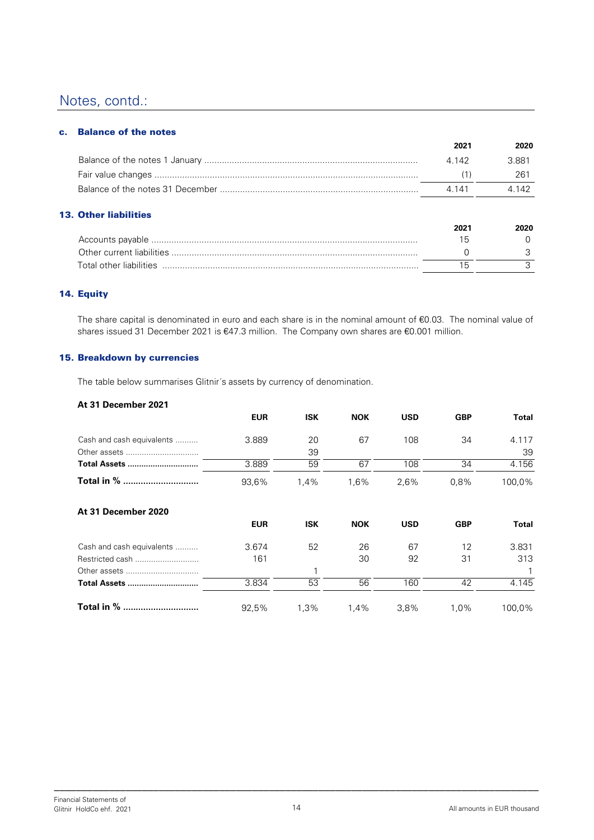#### c. Balance of the notes

| 2021  | 2020  |
|-------|-------|
| 4 142 | 3.881 |
|       | 261   |
| 4 141 | 4.142 |
|       |       |

### 13. Other liabilities

|                         | 2021 | 2020 |
|-------------------------|------|------|
|                         | ın   |      |
|                         |      |      |
| Total other liabilities |      |      |

#### 14. Equity

The share capital is denominated in euro and each share is in the nominal amount of €0.03. The nominal value of shares issued 31 December 2021 is €47.3 million. The Company own shares are €0.001 million.

#### 15. Breakdown by currencies

The table below summarises Glitnir´s assets by currency of denomination.

#### **At 31 December 2021**

|                           | <b>EUR</b> | <b>ISK</b> | <b>NOK</b> | <b>USD</b> | <b>GBP</b> | Total       |
|---------------------------|------------|------------|------------|------------|------------|-------------|
| Cash and cash equivalents | 3.889      | 20<br>39   | 67         | 108        | 34         | 4.117<br>39 |
| <b>Total Assets </b>      | 3.889      | 59         | 67         | 108        | 34         | 4.156       |
| Total in %                | 93,6%      | 1,4%       | 1,6%       | 2,6%       | 0,8%       | 100,0%      |
| At 31 December 2020       |            |            |            |            |            |             |
|                           | <b>EUR</b> | <b>ISK</b> | <b>NOK</b> | <b>USD</b> | <b>GBP</b> | Total       |
| Cash and cash equivalents | 3.674      | 52         | 26         | 67         | 12         | 3.831       |
| Restricted cash           | 161        |            | 30         | 92         | 31         | 313         |
| Other assets              |            |            |            |            |            |             |
| <b>Total Assets </b>      | 3.834      | 53         | 56         | 160        | 42         | 4.145       |
| Total in %                | 92.5%      | $1.3\%$    | 1.4%       | 3.8%       | 1.0%       | 100,0%      |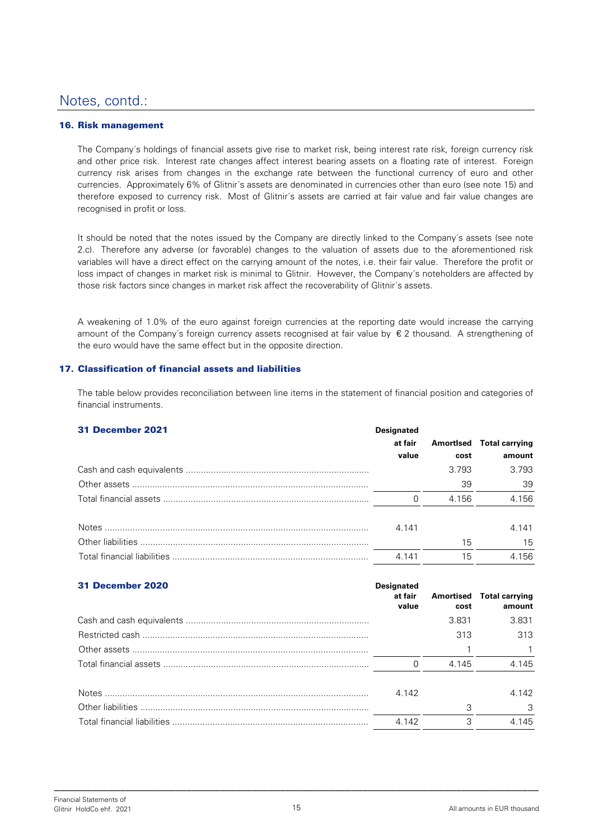#### 16. Risk management

The Company´s holdings of financial assets give rise to market risk, being interest rate risk, foreign currency risk and other price risk. Interest rate changes affect interest bearing assets on a floating rate of interest. Foreign currency risk arises from changes in the exchange rate between the functional currency of euro and other currencies. Approximately 6% of Glitnir´s assets are denominated in currencies other than euro (see note 15) and therefore exposed to currency risk. Most of Glitnir´s assets are carried at fair value and fair value changes are recognised in profit or loss.

It should be noted that the notes issued by the Company are directly linked to the Company´s assets (see note 2.c). Therefore any adverse (or favorable) changes to the valuation of assets due to the aforementioned risk variables will have a direct effect on the carrying amount of the notes, i.e. their fair value. Therefore the profit or loss impact of changes in market risk is minimal to Glitnir. However, the Company´s noteholders are affected by those risk factors since changes in market risk affect the recoverability of Glitnir´s assets.

A weakening of 1.0% of the euro against foreign currencies at the reporting date would increase the carrying amount of the Company's foreign currency assets recognised at fair value by  $\epsilon$  2 thousand. A strengthening of the euro would have the same effect but in the opposite direction.

#### 17. Classification of financial assets and liabilities

The table below provides reconciliation between line items in the statement of financial position and categories of financial instruments.

| <b>31 December 2021</b> | <b>Designated</b> |       |                          |
|-------------------------|-------------------|-------|--------------------------|
|                         | at fair           |       | Amortised Total carrying |
|                         | value             | cost  | amount                   |
|                         |                   | 3.793 | 3.793                    |
|                         |                   | 39    | 39                       |
|                         |                   | 4.156 | 4.156                    |
|                         | 4.141             |       | 4.141                    |
|                         |                   | 15    | 15                       |
|                         | 4.141             | 15    | 4.156                    |

| <b>31 December 2020</b> | <b>Designated</b><br>at fair<br>value | cost  | Amortised Total carrying<br>amount |
|-------------------------|---------------------------------------|-------|------------------------------------|
|                         |                                       | 3.831 | 3.831                              |
|                         |                                       | 313   | 313                                |
|                         |                                       |       |                                    |
|                         | $\Omega$                              | 4.145 | 4.145                              |
|                         | 4.142                                 |       | 4.142                              |
|                         |                                       | 3     | 3                                  |
|                         | 4 1 4 2                               | 3     | 4.145                              |